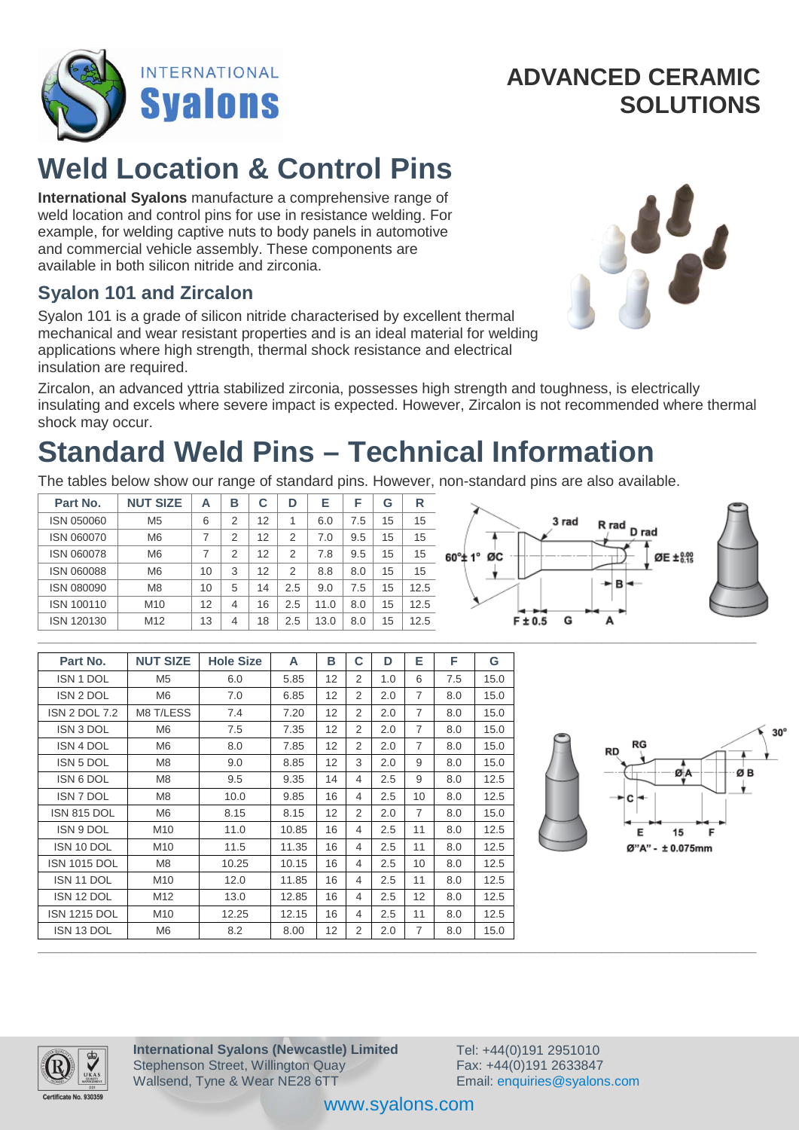

# **Weld Location & Control Pins**

**International Syalons** manufacture a comprehensive range of weld location and control pins for use in resistance welding. For example, for welding captive nuts to body panels in automotive and commercial vehicle assembly. These components are available in both silicon nitride and zirconia.

#### **Syalon 101 and Zircalon**

Syalon 101 is a grade of silicon nitride characterised by excellent thermal mechanical and wear resistant properties and is an ideal material for welding applications where high strength, thermal shock resistance and electrical insulation are required.



Zircalon, an advanced yttria stabilized zirconia, possesses high strength and toughness, is electrically insulating and excels where severe impact is expected. However, Zircalon is not recommended where thermal shock may occur.

# **Standard Weld Pins – Technical Information**

The tables below show our range of standard pins. However, non-standard pins are also available.

| Part No.   | <b>NUT SIZE</b> | А  | в | C  | D   | Е    |     | G  | $\mathsf{R}$ |                            |  |
|------------|-----------------|----|---|----|-----|------|-----|----|--------------|----------------------------|--|
| ISN 050060 | M <sub>5</sub>  | 6  | ⌒ | 12 |     | 6.0  | 7.5 | 15 | 15           | 3 rad<br>R rad<br>D rad    |  |
| ISN 060070 | M <sub>6</sub>  |    |   | 12 |     | 7.0  | 9.5 | 15 | 15           |                            |  |
| ISN 060078 | M <sub>6</sub>  |    | C | 12 | ◠   | 7.8  | 9.5 | 15 | 15           | ØE ± 8.99<br>ØC<br>60°± 1° |  |
| ISN 060088 | M <sub>6</sub>  | 10 | 3 | 12 | ⌒   | 8.8  | 8.0 | 15 | 15           |                            |  |
| ISN 080090 | M8              | 10 | 5 | 14 | 2.5 | 9.0  | 7.5 | 15 | 12.5         | →BH                        |  |
| ISN 100110 | M10             | 12 |   | 16 | 2.5 | 11.0 | 8.0 | 15 | 12.5         | $ -$<br>⊶                  |  |
| ISN 120130 | M <sub>12</sub> | 13 |   | 18 | 2.5 | 13.0 | 8.0 | 15 | 12.5         | $F \pm 0.5$<br>G<br>A      |  |
|            |                 |    |   |    |     |      |     |    |              |                            |  |



| Part No.             | <b>NUT SIZE</b> | <b>Hole Size</b> | A     | в  | C              | D   | Е               | F   | G    |                  |
|----------------------|-----------------|------------------|-------|----|----------------|-----|-----------------|-----|------|------------------|
| ISN 1 DOL            | M <sub>5</sub>  | 6.0              | 5.85  | 12 | 2              | 1.0 | 6               | 7.5 | 15.0 |                  |
| ISN 2 DOL            | M6              | 7.0              | 6.85  | 12 | 2              | 2.0 | $\overline{7}$  | 8.0 | 15.0 |                  |
| <b>ISN 2 DOL 7.2</b> | M8 T/LESS       | 7.4              | 7.20  | 12 | 2              | 2.0 | $\overline{7}$  | 8.0 | 15.0 |                  |
| ISN 3 DOL            | M6              | 7.5              | 7.35  | 12 | 2              | 2.0 | 7               | 8.0 | 15.0 |                  |
| <b>ISN 4 DOL</b>     | M6              | 8.0              | 7.85  | 12 | 2              | 2.0 | 7               | 8.0 | 15.0 | RG<br>RD         |
| <b>ISN 5 DOL</b>     | M8              | 9.0              | 8.85  | 12 | 3              | 2.0 | 9               | 8.0 | 15.0 |                  |
| ISN 6 DOL            | M8              | 9.5              | 9.35  | 14 | 4              | 2.5 | 9               | 8.0 | 12.5 | ØB<br>ØA         |
| <b>ISN 7 DOL</b>     | M <sub>8</sub>  | 10.0             | 9.85  | 16 | $\overline{4}$ | 2.5 | 10 <sup>°</sup> | 8.0 | 12.5 | — >⊦c⊦           |
| ISN 815 DOL          | M6              | 8.15             | 8.15  | 12 | 2              | 2.0 | $\overline{7}$  | 8.0 | 15.0 |                  |
| ISN 9 DOL            | M10             | 11.0             | 10.85 | 16 | $\overline{4}$ | 2.5 | 11              | 8.0 | 12.5 | Е<br>15<br>F     |
| ISN 10 DOL           | M10             | 11.5             | 11.35 | 16 | $\overline{4}$ | 2.5 | 11              | 8.0 | 12.5 | Ø"A" - ± 0.075mm |
| <b>ISN 1015 DOL</b>  | M8              | 10.25            | 10.15 | 16 | 4              | 2.5 | 10              | 8.0 | 12.5 |                  |
| ISN 11 DOL           | M10             | 12.0             | 11.85 | 16 | 4              | 2.5 | 11              | 8.0 | 12.5 |                  |
| ISN 12 DOL           | M12             | 13.0             | 12.85 | 16 | 4              | 2.5 | 12              | 8.0 | 12.5 |                  |
| <b>ISN 1215 DOL</b>  | M10             | 12.25            | 12.15 | 16 | 4              | 2.5 | 11              | 8.0 | 12.5 |                  |
| ISN 13 DOL           | M6              | 8.2              | 8.00  | 12 | 2              | 2.0 | 7               | 8.0 | 15.0 |                  |
|                      |                 |                  |       |    |                |     |                 |     |      |                  |



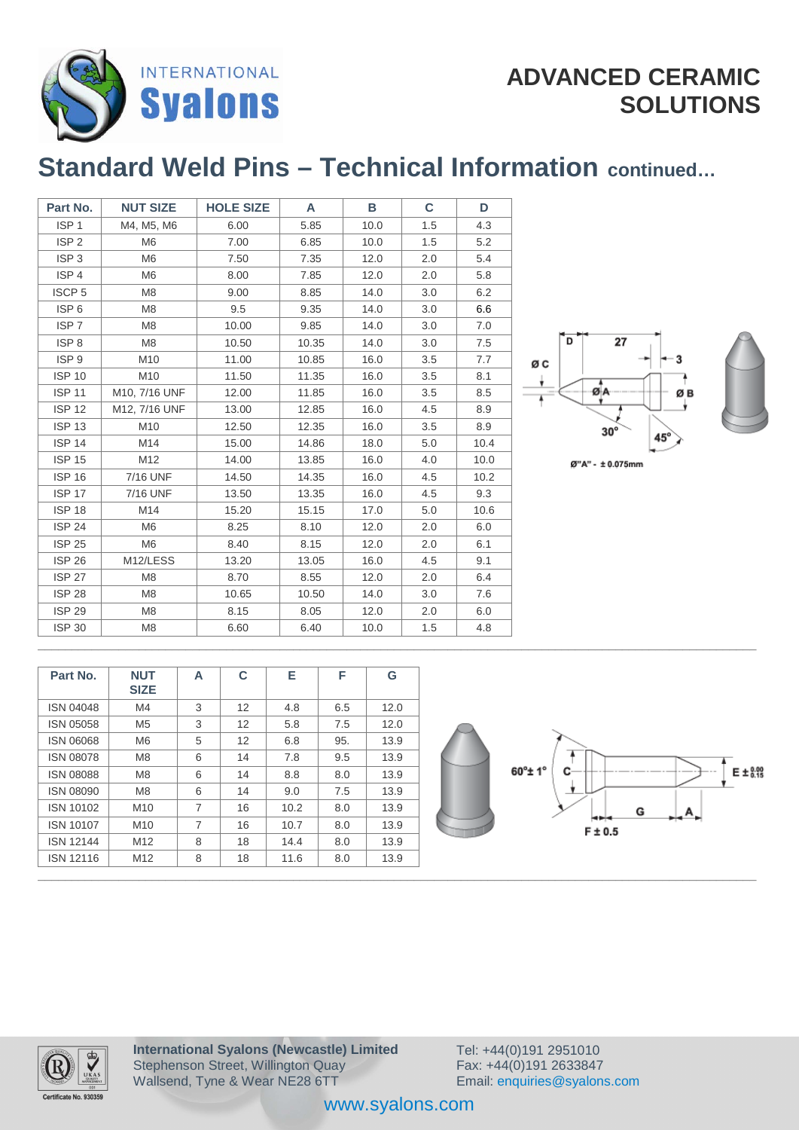

### **ADVANCED CERAMIC SOLUTIONS**

## **Standard Weld Pins – Technical Information continued…**

| Part No.          | <b>NUT SIZE</b> | <b>HOLE SIZE</b> | A     | в    | C   | D    |
|-------------------|-----------------|------------------|-------|------|-----|------|
| ISP <sub>1</sub>  | M4, M5, M6      | 6.00             | 5.85  | 10.0 | 1.5 | 4.3  |
| ISP <sub>2</sub>  | M <sub>6</sub>  | 7.00             | 6.85  | 10.0 | 1.5 | 5.2  |
| ISP <sub>3</sub>  | M <sub>6</sub>  | 7.50             | 7.35  | 12.0 | 2.0 | 5.4  |
| ISP <sub>4</sub>  | M <sub>6</sub>  | 8.00             | 7.85  | 12.0 | 2.0 | 5.8  |
| ISCP <sub>5</sub> | M <sub>8</sub>  | 9.00             | 8.85  | 14.0 | 3.0 | 6.2  |
| ISP <sub>6</sub>  | M <sub>8</sub>  | 9.5              | 9.35  | 14.0 | 3.0 | 6.6  |
| ISP <sub>7</sub>  | M <sub>8</sub>  | 10.00            | 9.85  | 14.0 | 3.0 | 7.0  |
| ISP <sub>8</sub>  | M <sub>8</sub>  | 10.50            | 10.35 | 14.0 | 3.0 | 7.5  |
| ISP <sub>9</sub>  | M10             | 11.00            | 10.85 | 16.0 | 3.5 | 7.7  |
| <b>ISP 10</b>     | M10             | 11.50            | 11.35 | 16.0 | 3.5 | 8.1  |
| <b>ISP 11</b>     | M10, 7/16 UNF   | 12.00            | 11.85 | 16.0 | 3.5 | 8.5  |
| <b>ISP 12</b>     | M12, 7/16 UNF   | 13.00            | 12.85 | 16.0 | 4.5 | 8.9  |
| <b>ISP 13</b>     | M10             | 12.50            | 12.35 | 16.0 | 3.5 | 8.9  |
| <b>ISP 14</b>     | M14             | 15.00            | 14.86 | 18.0 | 5.0 | 10.4 |
| <b>ISP 15</b>     | M12             | 14.00            | 13.85 | 16.0 | 4.0 | 10.0 |
| <b>ISP 16</b>     | 7/16 UNF        | 14.50            | 14.35 | 16.0 | 4.5 | 10.2 |
| <b>ISP 17</b>     | 7/16 UNF        | 13.50            | 13.35 | 16.0 | 4.5 | 9.3  |
| <b>ISP 18</b>     | M14             | 15.20            | 15.15 | 17.0 | 5.0 | 10.6 |
| <b>ISP 24</b>     | M <sub>6</sub>  | 8.25             | 8.10  | 12.0 | 2.0 | 6.0  |
| <b>ISP 25</b>     | M <sub>6</sub>  | 8.40             | 8.15  | 12.0 | 2.0 | 6.1  |
| <b>ISP 26</b>     | M12/LESS        | 13.20            | 13.05 | 16.0 | 4.5 | 9.1  |
| <b>ISP 27</b>     | M <sub>8</sub>  | 8.70             | 8.55  | 12.0 | 2.0 | 6.4  |
| <b>ISP 28</b>     | M <sub>8</sub>  | 10.65            | 10.50 | 14.0 | 3.0 | 7.6  |
| <b>ISP 29</b>     | M <sub>8</sub>  | 8.15             | 8.05  | 12.0 | 2.0 | 6.0  |
| <b>ISP 30</b>     | M <sub>8</sub>  | 6.60             | 6.40  | 10.0 | 1.5 | 4.8  |



Ø"A" - ± 0.075mm

| Part No.         | <b>NUT</b><br><b>SIZE</b> | A | C  | Е    | F   | G    |                                     |
|------------------|---------------------------|---|----|------|-----|------|-------------------------------------|
| <b>ISN 04048</b> | M4                        | 3 | 12 | 4.8  | 6.5 | 12.0 |                                     |
| ISN 05058        | M <sub>5</sub>            | 3 | 12 | 5.8  | 7.5 | 12.0 |                                     |
| <b>ISN 06068</b> | M <sub>6</sub>            | 5 | 12 | 6.8  | 95. | 13.9 |                                     |
| <b>ISN 08078</b> | M <sub>8</sub>            | 6 | 14 | 7.8  | 9.5 | 13.9 |                                     |
| <b>ISN 08088</b> | M <sub>8</sub>            | 6 | 14 | 8.8  | 8.0 | 13.9 | $60^\circ \pm 1^\circ$<br>C-<br>E±& |
| <b>ISN 08090</b> | M <sub>8</sub>            | 6 | 14 | 9.0  | 7.5 | 13.9 |                                     |
| ISN 10102        | M10                       | 7 | 16 | 10.2 | 8.0 | 13.9 | G                                   |
| ISN 10107        | M10                       | 7 | 16 | 10.7 | 8.0 | 13.9 | --<br>$F \pm 0.5$                   |
| <b>ISN 12144</b> | M12                       | 8 | 18 | 14.4 | 8.0 | 13.9 |                                     |
| <b>ISN 12116</b> | M12                       | 8 | 18 | 11.6 | 8.0 | 13.9 |                                     |





\_\_\_\_\_\_\_\_\_\_\_\_\_\_\_\_\_\_\_\_\_\_\_\_\_\_\_\_\_\_\_\_\_\_\_\_\_\_\_\_\_\_\_\_\_\_\_\_\_\_\_\_\_\_\_\_\_\_\_\_\_\_\_\_\_\_\_\_\_\_\_\_\_\_\_\_\_\_\_\_\_\_\_\_\_\_\_\_\_\_\_\_\_\_\_\_\_\_\_\_\_\_\_\_\_\_\_